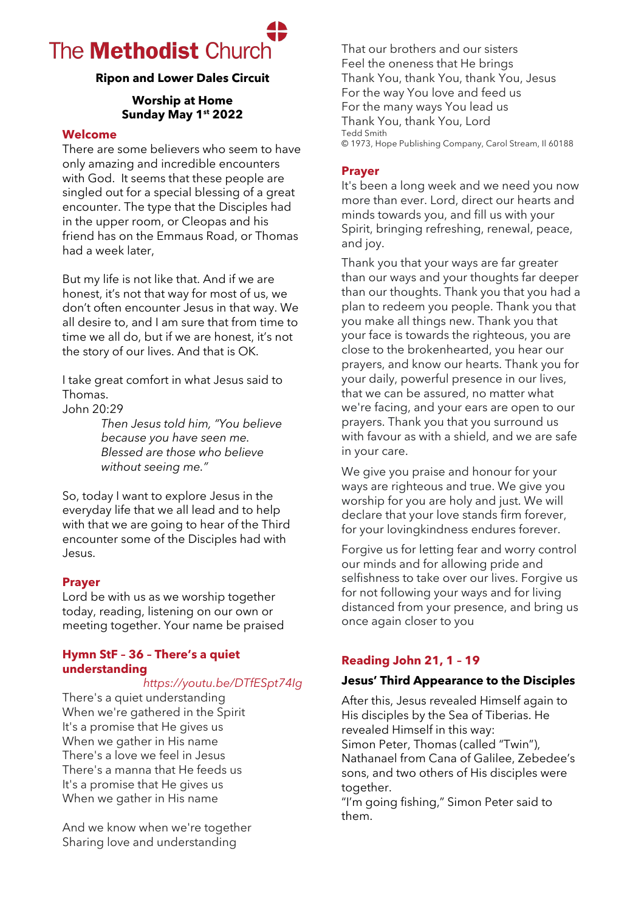

# **Ripon and Lower Dales Circuit**

# **Worship at Home Sunday May 1st 2022**

#### **Welcome**

There are some believers who seem to have only amazing and incredible encounters with God. It seems that these people are singled out for a special blessing of a great encounter. The type that the Disciples had in the upper room, or Cleopas and his friend has on the Emmaus Road, or Thomas had a week later,

But my life is not like that. And if we are honest, it's not that way for most of us, we don't often encounter Jesus in that way. We all desire to, and I am sure that from time to time we all do, but if we are honest, it's not the story of our lives. And that is OK.

I take great comfort in what Jesus said to Thomas.

John 20:29

*Then Jesus told him, "You believe because you have seen me. Blessed are those who believe without seeing me."*

So, today I want to explore Jesus in the everyday life that we all lead and to help with that we are going to hear of the Third encounter some of the Disciples had with Jesus.

#### **Prayer**

Lord be with us as we worship together today, reading, listening on our own or meeting together. Your name be praised

# **Hymn StF – 36 – There's a quiet understanding**

#### *https://youtu.be/DTfESpt74Ig*

There's a quiet understanding When we're gathered in the Spirit It's a promise that He gives us When we gather in His name There's a love we feel in Jesus There's a manna that He feeds us It's a promise that He gives us When we gather in His name

And we know when we're together Sharing love and understanding

That our brothers and our sisters Feel the oneness that He brings Thank You, thank You, thank You, Jesus For the way You love and feed us For the many ways You lead us Thank You, thank You, Lord Tedd Smith © 1973, Hope Publishing Company, Carol Stream, Il 60188

# **Prayer**

It's been a long week and we need you now more than ever. Lord, direct our hearts and minds towards you, and fill us with your Spirit, bringing refreshing, renewal, peace, and joy.

Thank you that your ways are far greater than our ways and your thoughts far deeper than our thoughts. Thank you that you had a plan to redeem you people. Thank you that you make all things new. Thank you that your face is towards the righteous, you are close to the brokenhearted, you hear our prayers, and know our hearts. Thank you for your daily, powerful presence in our lives, that we can be assured, no matter what we're facing, and your ears are open to our prayers. Thank you that you surround us with favour as with a shield, and we are safe in your care.

We give you praise and honour for your ways are righteous and true. We give you worship for you are holy and just. We will declare that your love stands firm forever, for your lovingkindness endures forever.

Forgive us for letting fear and worry control our minds and for allowing pride and selfishness to take over our lives. Forgive us for not following your ways and for living distanced from your presence, and bring us once again closer to you

# **Reading John 21, 1 – 19**

# **Jesus' Third Appearance to the Disciples**

After this, Jesus revealed Himself again to His disciples by the Sea of Tiberias. He revealed Himself in this way: Simon Peter, Thomas (called "Twin"), Nathanael from Cana of Galilee, Zebedee's sons, and two others of His disciples were together.

"I'm going fishing," Simon Peter said to them.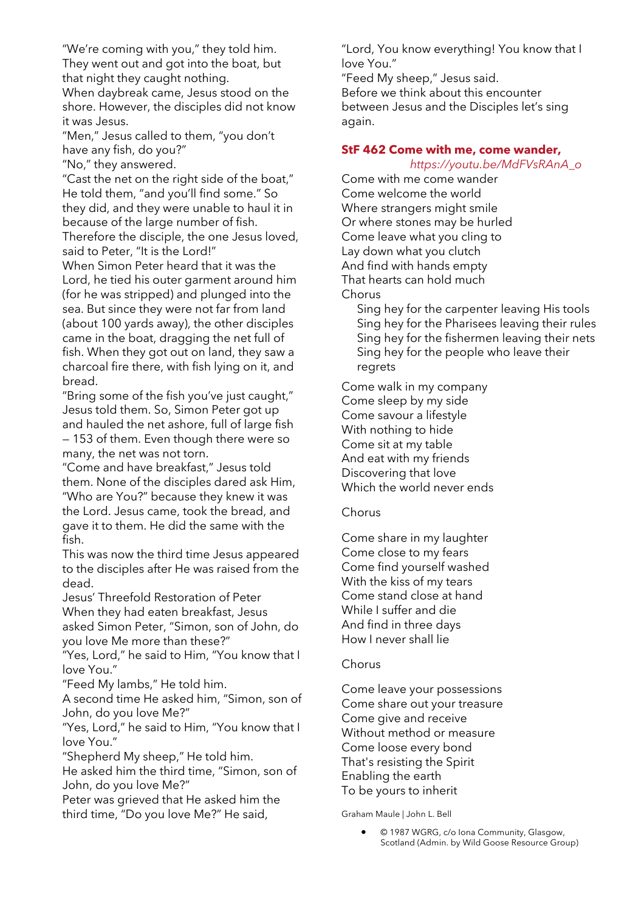"We're coming with you," they told him. They went out and got into the boat, but that night they caught nothing. When daybreak came, Jesus stood on the shore. However, the disciples did not know it was Jesus.

"Men," Jesus called to them, "you don't have any fish, do you?"

"No," they answered.

"Cast the net on the right side of the boat," He told them, "and you'll find some." So they did, and they were unable to haul it in because of the large number of fish. Therefore the disciple, the one Jesus loved, said to Peter, "It is the Lord!"

When Simon Peter heard that it was the Lord, he tied his outer garment around him (for he was stripped) and plunged into the sea. But since they were not far from land (about 100 yards away), the other disciples came in the boat, dragging the net full of fish. When they got out on land, they saw a charcoal fire there, with fish lying on it, and bread.

"Bring some of the fish you've just caught," Jesus told them. So, Simon Peter got up and hauled the net ashore, full of large fish — 153 of them. Even though there were so many, the net was not torn.

"Come and have breakfast," Jesus told them. None of the disciples dared ask Him, "Who are You?" because they knew it was the Lord. Jesus came, took the bread, and gave it to them. He did the same with the fish.

This was now the third time Jesus appeared to the disciples after He was raised from the dead.

Jesus' Threefold Restoration of Peter When they had eaten breakfast, Jesus asked Simon Peter, "Simon, son of John, do you love Me more than these?"

"Yes, Lord," he said to Him, "You know that I love You."

"Feed My lambs," He told him.

A second time He asked him, "Simon, son of John, do you love Me?"

"Yes, Lord," he said to Him, "You know that I love You."

"Shepherd My sheep," He told him. He asked him the third time, "Simon, son of John, do you love Me?"

Peter was grieved that He asked him the third time, "Do you love Me?" He said,

"Lord, You know everything! You know that I love You."

"Feed My sheep," Jesus said. Before we think about this encounter between Jesus and the Disciples let's sing again.

# **StF 462 Come with me, come wander,**

*https://youtu.be/MdFVsRAnA\_o*

Come with me come wander Come welcome the world Where strangers might smile Or where stones may be hurled Come leave what you cling to Lay down what you clutch And find with hands empty That hearts can hold much Chorus

Sing hey for the carpenter leaving His tools Sing hey for the Pharisees leaving their rules Sing hey for the fishermen leaving their nets Sing hey for the people who leave their regrets

Come walk in my company Come sleep by my side Come savour a lifestyle With nothing to hide Come sit at my table And eat with my friends Discovering that love Which the world never ends

# Chorus

Come share in my laughter Come close to my fears Come find yourself washed With the kiss of my tears Come stand close at hand While I suffer and die And find in three days How I never shall lie

# Chorus

Come leave your possessions Come share out your treasure Come give and receive Without method or measure Come loose every bond That's resisting the Spirit Enabling the earth To be yours to inherit

Graham Maule | John L. Bell

• © 1987 WGRG, c/o Iona Community, Glasgow, Scotland (Admin. by Wild Goose Resource Group)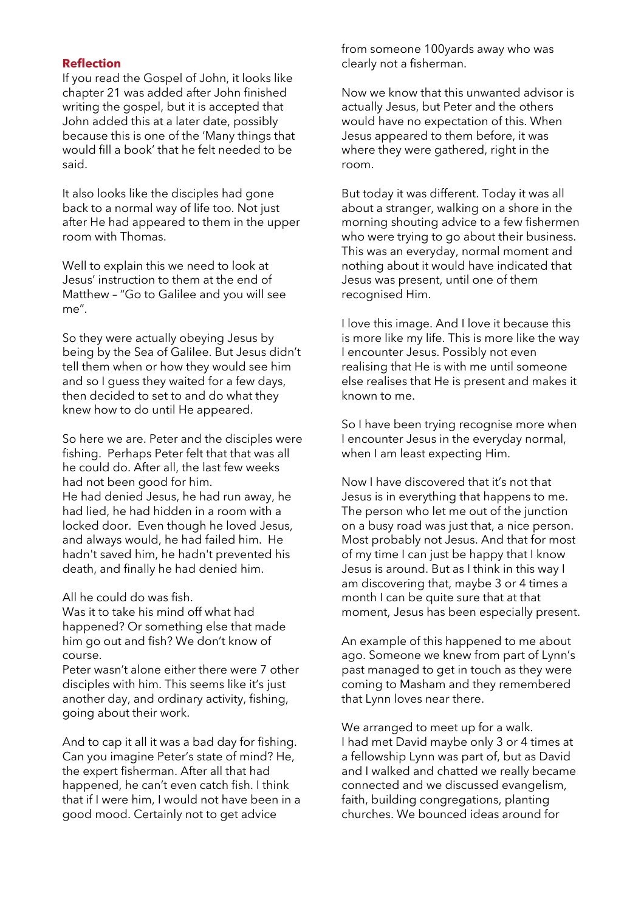### **Reflection**

If you read the Gospel of John, it looks like chapter 21 was added after John finished writing the gospel, but it is accepted that John added this at a later date, possibly because this is one of the 'Many things that would fill a book' that he felt needed to be said.

It also looks like the disciples had gone back to a normal way of life too. Not just after He had appeared to them in the upper room with Thomas.

Well to explain this we need to look at Jesus' instruction to them at the end of Matthew – "Go to Galilee and you will see me".

So they were actually obeying Jesus by being by the Sea of Galilee. But Jesus didn't tell them when or how they would see him and so I guess they waited for a few days, then decided to set to and do what they knew how to do until He appeared.

So here we are. Peter and the disciples were fishing. Perhaps Peter felt that that was all he could do. After all, the last few weeks had not been good for him. He had denied Jesus, he had run away, he had lied, he had hidden in a room with a locked door. Even though he loved Jesus, and always would, he had failed him. He hadn't saved him, he hadn't prevented his death, and finally he had denied him.

All he could do was fish.

Was it to take his mind off what had happened? Or something else that made him go out and fish? We don't know of course.

Peter wasn't alone either there were 7 other disciples with him. This seems like it's just another day, and ordinary activity, fishing, going about their work.

And to cap it all it was a bad day for fishing. Can you imagine Peter's state of mind? He, the expert fisherman. After all that had happened, he can't even catch fish. I think that if I were him, I would not have been in a good mood. Certainly not to get advice

from someone 100yards away who was clearly not a fisherman.

Now we know that this unwanted advisor is actually Jesus, but Peter and the others would have no expectation of this. When Jesus appeared to them before, it was where they were gathered, right in the room.

But today it was different. Today it was all about a stranger, walking on a shore in the morning shouting advice to a few fishermen who were trying to go about their business. This was an everyday, normal moment and nothing about it would have indicated that Jesus was present, until one of them recognised Him.

I love this image. And I love it because this is more like my life. This is more like the way I encounter Jesus. Possibly not even realising that He is with me until someone else realises that He is present and makes it known to me.

So I have been trying recognise more when I encounter Jesus in the everyday normal, when I am least expecting Him.

Now I have discovered that it's not that Jesus is in everything that happens to me. The person who let me out of the junction on a busy road was just that, a nice person. Most probably not Jesus. And that for most of my time I can just be happy that I know Jesus is around. But as I think in this way I am discovering that, maybe 3 or 4 times a month I can be quite sure that at that moment, Jesus has been especially present.

An example of this happened to me about ago. Someone we knew from part of Lynn's past managed to get in touch as they were coming to Masham and they remembered that Lynn loves near there.

We arranged to meet up for a walk. I had met David maybe only 3 or 4 times at a fellowship Lynn was part of, but as David and I walked and chatted we really became connected and we discussed evangelism, faith, building congregations, planting churches. We bounced ideas around for